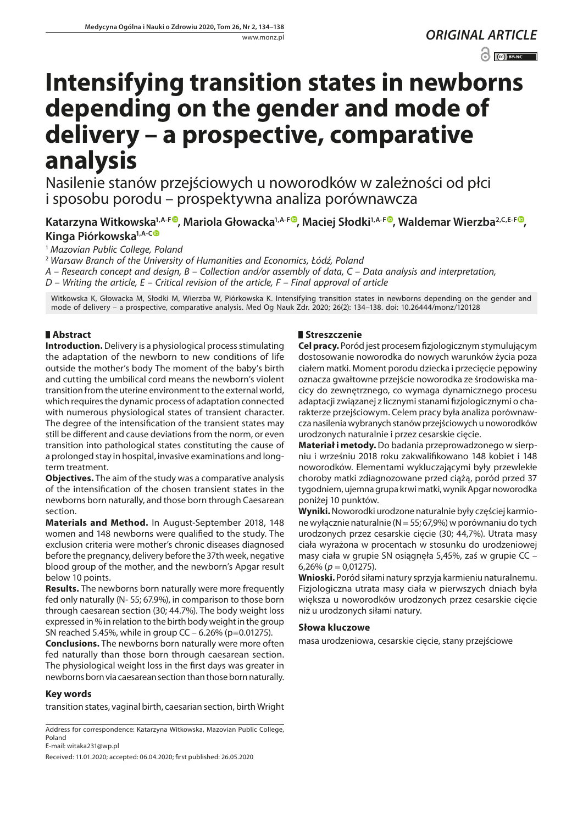*ORIGINAL ARTICLE*  $\odot$   $\odot$  BY-NC

# **Intensifying transition states in newborns depending on the gender and mode of delivery – a prospective, comparative analysis**

Nasilenie stanów przejściowych u noworodków w zależności od płci i sposobu porodu – prospektywna analiza porównawcza

Katarzyna Witkowska<sup>1[,](https://orcid.org/0000-0002-0160-8013)A-F</sup><sup>O</sup>, Mariola Głowacka<sup>1,A-F</sup><sup>O</sup>, Maciej Słodki<sup>1,A-F</sup><sup>O</sup>, Waldemar Wierzba<sup>2,C,E-F</sup><sup>O</sup>, **Kinga Piórkowska1,A-C**

<sup>1</sup> *Mazovian Public College, Poland*

<sup>2</sup> *Warsaw Branch of the University of Humanities and Economics, Łódź, Poland*

*A – Research concept and design, B – Collection and/or assembly of data, C – Data analysis and interpretation,* 

*D – Writing the article, E – Critical revision of the article, F – Final approval of article*

Witkowska K, Głowacka M, Słodki M, Wierzba W, Piórkowska K. Intensifying transition states in newborns depending on the gender and mode of delivery – a prospective, comparative analysis. Med Og Nauk Zdr. 2020; 26(2): 134–138. doi: 10.26444/monz/120128

# **Abstract**

**Introduction.** Delivery is a physiological process stimulating the adaptation of the newborn to new conditions of life outside the mother's body The moment of the baby's birth and cutting the umbilical cord means the newborn's violent transition from the uterine environment to the external world, which requires the dynamic process of adaptation connected with numerous physiological states of transient character. The degree of the intensification of the transient states may still be different and cause deviations from the norm, or even transition into pathological states constituting the cause of a prolonged stay in hospital, invasive examinations and longterm treatment.

**Objectives.** The aim of the study was a comparative analysis of the intensification of the chosen transient states in the newborns born naturally, and those born through Caesarean section.

**Materials and Method.** In August-September 2018, 148 women and 148 newborns were qualified to the study. The exclusion criteria were mother's chronic diseases diagnosed before the pregnancy, delivery before the 37th week, negative blood group of the mother, and the newborn's Apgar result below 10 points.

**Results.** The newborns born naturally were more frequently fed only naturally (N- 55; 67.9%), in comparison to those born through caesarean section (30; 44.7%). The body weight loss expressed in % in relation to the birth body weight in the group SN reached 5.45%, while in group CC – 6.26% (p=0.01275).

**Conclusions.** The newborns born naturally were more often fed naturally than those born through caesarean section. The physiological weight loss in the first days was greater in newborns born via caesarean section than those born naturally.

## **Key words**

transition states, vaginal birth, caesarian section, birth Wright

Address for correspondence: Katarzyna Witkowska, Mazovian Public College, Poland

E-mail: [witaka231@wp.pl](mailto:witaka231@wp.pl)

Received: 11.01.2020; accepted: 06.04.2020; first published: 26.05.2020

## **Streszczenie**

**Cel pracy.** Poród jest procesem fizjologicznym stymulującym dostosowanie noworodka do nowych warunków życia poza ciałem matki. Moment porodu dziecka i przecięcie pępowiny oznacza gwałtowne przejście noworodka ze środowiska macicy do zewnętrznego, co wymaga dynamicznego procesu adaptacji związanej z licznymi stanami fizjologicznymi o charakterze przejściowym. Celem pracy była analiza porównawcza nasilenia wybranych stanów przejściowych u noworodków urodzonych naturalnie i przez cesarskie cięcie.

**Materiał i metody.** Do badania przeprowadzonego w sierpniu i wrześniu 2018 roku zakwalifikowano 148 kobiet i 148 noworodków. Elementami wykluczającymi były przewlekłe choroby matki zdiagnozowane przed ciążą, poród przed 37 tygodniem, ujemna grupa krwi matki, wynik Apgar noworodka poniżej 10 punktów.

**Wyniki.** Noworodki urodzone naturalnie były częściej karmione wyłącznie naturalnie (N = 55; 67,9%) w porównaniu do tych urodzonych przez cesarskie cięcie (30; 44,7%). Utrata masy ciała wyrażona w procentach w stosunku do urodzeniowej masy ciała w grupie SN osiągnęła 5,45%, zaś w grupie CC – 6,26% (*p* = 0,01275).

**Wnioski.** Poród siłami natury sprzyja karmieniu naturalnemu. Fizjologiczna utrata masy ciała w pierwszych dniach była większa u noworodków urodzonych przez cesarskie cięcie niż u urodzonych siłami natury.

#### **Słowa kluczowe**

masa urodzeniowa, cesarskie cięcie, stany przejściowe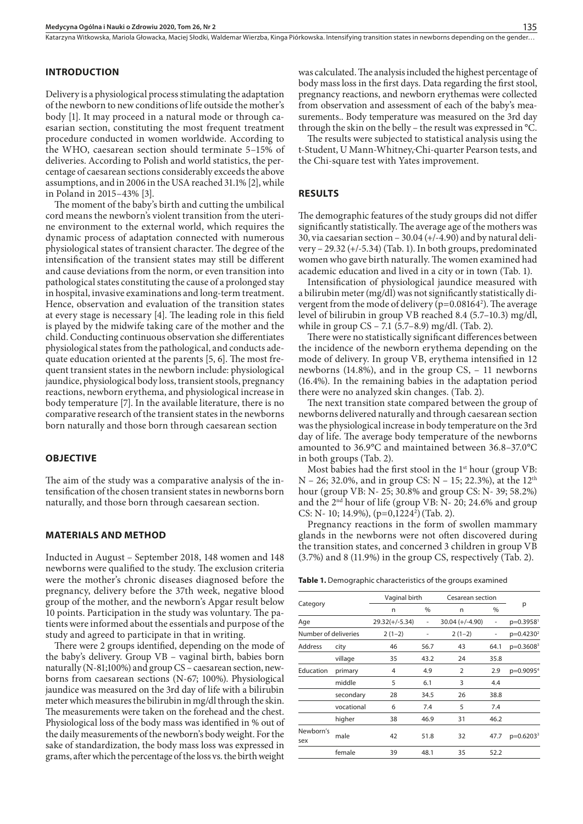Katarzyna Witkowska, Mariola Głowacka, Maciej Słodki, Waldemar Wierzba, Kinga Piórkowska. Intensifying transition states in newborns depending on the gender...

# **INTRODUCTION**

Delivery is a physiological process stimulating the adaptation of the newborn to new conditions of life outside the mother's body [1]. It may proceed in a natural mode or through caesarian section, constituting the most frequent treatment procedure conducted in women worldwide. According to the WHO, caesarean section should terminate 5–15% of deliveries. According to Polish and world statistics, the percentage of caesarean sections considerably exceeds the above assumptions, and in 2006 in the USA reached 31.1% [2], while in Poland in 2015–43% [3].

The moment of the baby's birth and cutting the umbilical cord means the newborn's violent transition from the uterine environment to the external world, which requires the dynamic process of adaptation connected with numerous physiological states of transient character. The degree of the intensification of the transient states may still be different and cause deviations from the norm, or even transition into pathological states constituting the cause of a prolonged stay in hospital, invasive examinations and long-term treatment. Hence, observation and evaluation of the transition states at every stage is necessary [4]. The leading role in this field is played by the midwife taking care of the mother and the child. Conducting continuous observation she differentiates physiological states from the pathological, and conducts adequate education oriented at the parents [5, 6]. The most frequent transient states in the newborn include: physiological jaundice, physiological body loss, transient stools, pregnancy reactions, newborn erythema, and physiological increase in body temperature [7]. In the available literature, there is no comparative research of the transient states in the newborns born naturally and those born through caesarean section

#### **OBJECTIVE**

The aim of the study was a comparative analysis of the intensification of the chosen transient states in newborns born naturally, and those born through caesarean section.

#### **MATERIALS AND METHOD**

Inducted in August – September 2018, 148 women and 148 newborns were qualified to the study. The exclusion criteria were the mother's chronic diseases diagnosed before the pregnancy, delivery before the 37th week, negative blood group of the mother, and the newborn's Apgar result below 10 points. Participation in the study was voluntary. The patients were informed about the essentials and purpose of the study and agreed to participate in that in writing.

There were 2 groups identified, depending on the mode of the baby's delivery. Group VB – vaginal birth, babies born naturally (N-81;100%) and group CS – caesarean section, newborns from caesarean sections (N-67; 100%). Physiological jaundice was measured on the 3rd day of life with a bilirubin meter which measures the bilirubin in mg/dl through the skin. The measurements were taken on the forehead and the chest. Physiological loss of the body mass was identified in % out of the daily measurements of the newborn's body weight. For the sake of standardization, the body mass loss was expressed in grams, after which the percentage of the loss vs. the birth weight

was calculated. The analysis included the highest percentage of body mass loss in the first days. Data regarding the first stool, pregnancy reactions, and newborn erythemas were collected from observation and assessment of each of the baby's measurements.. Body temperature was measured on the 3rd day through the skin on the belly – the result was expressed in °C.

The results were subjected to statistical analysis using the t-Student, U Mann-Whitney, Chi-quarter Pearson tests, and the Chi-square test with Yates improvement.

#### **RESULTS**

The demographic features of the study groups did not differ significantly statistically. The average age of the mothers was 30, via caesarian section  $-30.04$  (+/-4.90) and by natural delivery – 29.32 (+/-5.34) (Tab. 1). In both groups, predominated women who gave birth naturally. The women examined had academic education and lived in a city or in town (Tab. 1).

Intensification of physiological jaundice measured with a bilirubin meter (mg/dl) was not significantly statistically divergent from the mode of delivery ( $p=0.08164^2$ ). The average level of bilirubin in group VB reached 8.4 (5.7–10.3) mg/dl, while in group CS – 7.1 (5.7–8.9) mg/dl. (Tab. 2).

There were no statistically significant differences between the incidence of the newborn erythema depending on the mode of delivery. In group VB, erythema intensified in 12 newborns (14.8%), and in the group CS, – 11 newborns (16.4%). In the remaining babies in the adaptation period there were no analyzed skin changes. (Tab. 2).

The next transition state compared between the group of newborns delivered naturally and through caesarean section was the physiological increase in body temperature on the 3rd day of life. The average body temperature of the newborns amounted to 36.9°C and maintained between 36.8–37.0°C in both groups (Tab. 2).

Most babies had the first stool in the  $1<sup>st</sup>$  hour (group VB:  $N - 26$ ; 32.0%, and in group CS:  $N - 15$ ; 22.3%), at the 12<sup>th</sup> hour (group VB: N- 25; 30.8% and group CS: N- 39; 58.2%) and the  $2<sup>nd</sup>$  hour of life (group VB: N- 20; 24.6% and group CS: N- 10; 14.9%), (p=0,1224<sup>2</sup>) (Tab. 2).

Pregnancy reactions in the form of swollen mammary glands in the newborns were not often discovered during the transition states, and concerned 3 children in group VB (3.7%) and 8 (11.9%) in the group CS, respectively (Tab. 2).

**Table 1.** Demographic characteristics of the groups examined

|                      |            | Vaginal birth    |      | Cesarean section  |      |                       |
|----------------------|------------|------------------|------|-------------------|------|-----------------------|
| Category             |            | n                | %    | n                 | %    | р                     |
| Age                  |            | $29.32(+/-5.34)$ | ۰    | $30.04 (+/-4.90)$ | ۰    | p=0.3958 <sup>1</sup> |
| Number of deliveries |            | $2(1-2)$         |      | $2(1-2)$          |      | $p=0.4230^2$          |
| Address              | city       | 46               | 56.7 | 43                | 64.1 | $p=0.3608^3$          |
|                      | village    | 35               | 43.2 | 24                | 35.8 |                       |
| Education            | primary    | 4                | 4.9  | $\overline{2}$    | 2.9  | p=0.9095 <sup>4</sup> |
|                      | middle     | 5                | 6.1  | 3                 | 4.4  |                       |
|                      | secondary  | 28               | 34.5 | 26                | 38.8 |                       |
|                      | vocational | 6                | 7.4  | 5                 | 7.4  |                       |
|                      | higher     | 38               | 46.9 | 31                | 46.2 |                       |
| Newborn's<br>sex     | male       | 42               | 51.8 | 32                | 47.7 | $p=0.6203^{3}$        |
|                      | female     | 39               | 48.1 | 35                | 52.2 |                       |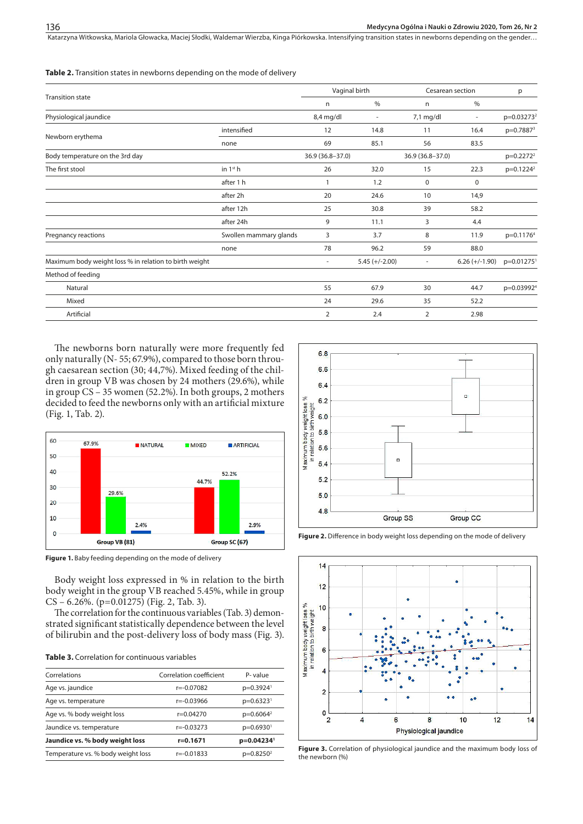Katarzyna Witkowska, Mariola Głowacka, Maciej Słodki, Waldemar Wierzba, Kinga Piórkowska. Intensifying transition states in newborns depending on the gender...

**Table 2.** Transition states in newborns depending on the mode of delivery

|                                                        |                        | Vaginal birth    |                          | Cesarean section |                          | p                        |
|--------------------------------------------------------|------------------------|------------------|--------------------------|------------------|--------------------------|--------------------------|
| <b>Transition state</b>                                |                        | n                | $\%$                     | n                | $\%$                     |                          |
| Physiological jaundice                                 |                        | 8,4 mg/dl        | $\overline{\phantom{a}}$ | 7,1 mg/dl        | $\overline{\phantom{a}}$ | p=0.03273 <sup>2</sup>   |
|                                                        | intensified            | 12               | 14.8                     | 11               | 16.4                     | p=0.7887 <sup>3</sup>    |
| Newborn erythema                                       | none                   | 69               | 85.1                     | 56               | 83.5                     |                          |
| Body temperature on the 3rd day                        |                        | 36.9 (36.8-37.0) |                          | 36.9 (36.8-37.0) |                          | $p=0.2272^2$             |
| The first stool                                        | in $1st$ h             | 26               | 32.0                     | 15               | 22.3                     | $p=0.1224^2$             |
|                                                        | after 1 h              |                  | 1.2                      | 0                | 0                        |                          |
|                                                        | after 2h               | 20               | 24.6                     | 10               | 14,9                     |                          |
|                                                        | after 12h              | 25               | 30.8                     | 39               | 58.2                     |                          |
|                                                        | after 24h              | 9                | 11.1                     | 3                | 4.4                      |                          |
| Pregnancy reactions                                    | Swollen mammary glands | 3                | 3.7                      | 8                | 11.9                     | p=0.1176 <sup>4</sup>    |
|                                                        | none                   | 78               | 96.2                     | 59               | 88.0                     |                          |
| Maximum body weight loss % in relation to birth weight |                        | ٠                | $5.45 (+/-2.00)$         | ٠                | $6.26 (+/-1.90)$         | $p=0.01275$ <sup>1</sup> |
| Method of feeding                                      |                        |                  |                          |                  |                          |                          |
| Natural                                                |                        | 55               | 67.9                     | 30               | 44.7                     | p=0.03992 <sup>4</sup>   |
| Mixed                                                  |                        | 24               | 29.6                     | 35               | 52.2                     |                          |
| Artificial                                             |                        | $\overline{2}$   | 2.4                      | 2                | 2.98                     |                          |
|                                                        |                        |                  |                          |                  |                          |                          |

The newborns born naturally were more frequently fed only naturally (N- 55; 67.9%), compared to those born through caesarean section (30; 44,7%). Mixed feeding of the children in group VB was chosen by 24 mothers (29.6%), while in group CS – 35 women (52.2%). In both groups, 2 mothers decided to feed the newborns only with an artificial mixture (Fig. 1, Tab. 2).



**Figure 1.** Baby feeding depending on the mode of delivery

Body weight loss expressed in % in relation to the birth body weight in the group VB reached 5.45%, while in group CS – 6.26%. (p=0.01275) (Fig. 2, Tab. 3).

The correlation for the continuous variables (Tab. 3) demonstrated significant statistically dependence between the level of bilirubin and the post-delivery loss of body mass (Fig. 3).

| <b>Table 3.</b> Correlation for continuous variables |  |
|------------------------------------------------------|--|
|------------------------------------------------------|--|

| Correlations                       | Correlation coefficient | P-value                 |
|------------------------------------|-------------------------|-------------------------|
| Age vs. jaundice                   | $r = -0.07082$          | $p=0.3924$ <sup>1</sup> |
| Age vs. temperature                | $r = -0.03966$          | $p=0.6323$ <sup>1</sup> |
| Age vs. % body weight loss         | $r=0.04270$             | $p=0.6064^2$            |
| Jaundice vs. temperature           | $r = -0.03273$          | $p=0.6930$ <sup>1</sup> |
| Jaundice vs. % body weight loss    | r=0.1671                | p=0.04234 <sup>1</sup>  |
| Temperature vs. % body weight loss | $r = -0.01833$          | $p=0.8250^2$            |



Figure 2. Difference in body weight loss depending on the mode of delivery



**Figure 3.** Correlation of physiological jaundice and the maximum body loss of the newborn (%)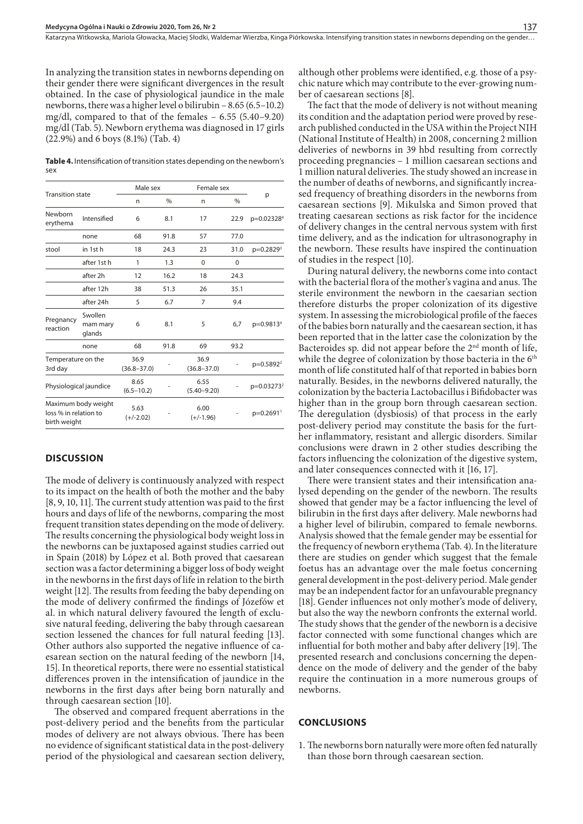In analyzing the transition states in newborns depending on their gender there were significant divergences in the result obtained. In the case of physiological jaundice in the male newborns, there was a higher level o bilirubin – 8.65 (6.5–10.2) mg/dl, compared to that of the females – 6.55 (5.40–9.20) mg/dl (Tab. 5). Newborn erythema was diagnosed in 17 girls (22.9%) and 6 boys (8.1%) (Tab. 4)

**Table 4.** Intensification of transition states depending on the newborn's sex

| <b>Transition state</b>               |                               | Male sex                |      |                         | Female sex    |                        |
|---------------------------------------|-------------------------------|-------------------------|------|-------------------------|---------------|------------------------|
|                                       |                               | n                       | $\%$ | n                       | $\frac{0}{0}$ | p                      |
| Newborn<br>erythema                   | Intensified                   | 6                       | 8.1  | 17                      | 22.9          | p=0.02328 <sup>4</sup> |
|                                       | none                          | 68                      | 91.8 | 57                      | 77.0          |                        |
| stool                                 | in 1st h                      | 18                      | 24.3 | 23                      | 31.0          | $p=0.2829^{3}$         |
|                                       | after 1st h                   | 1                       | 1.3  | $\Omega$                | 0             |                        |
|                                       | after 2h                      | 12                      | 16.2 | 18                      | 24.3          |                        |
|                                       | after 12h                     | 38                      | 51.3 | 26                      | 35.1          |                        |
|                                       | after 24h                     | 5                       | 6.7  | 7                       | 9.4           |                        |
| Pregnancy<br>reaction                 | Swollen<br>mam mary<br>glands | 6                       | 8.1  | 5                       | 6,7           | p=0.9813 <sup>4</sup>  |
|                                       | none                          | 68                      | 91.8 | 69                      | 93.2          |                        |
| Temperature on the<br>3rd day         |                               | 36.9<br>$(36.8 - 37.0)$ |      | 36.9<br>$(36.8 - 37.0)$ |               | p=0.5892 <sup>2</sup>  |
| Physiological jaundice                |                               | 8.65<br>$(6.5 - 10.2)$  |      | 6.55<br>$(5.40 - 9.20)$ |               | p=0.03273 <sup>2</sup> |
| loss % in relation to<br>birth weight | Maximum body weight           | 5.63<br>$(+/-2.02)$     |      | 6.00<br>$(+/-1.96)$     |               | p=0.2691 <sup>1</sup>  |
|                                       |                               |                         |      |                         |               |                        |

### **DISCUSSION**

The mode of delivery is continuously analyzed with respect to its impact on the health of both the mother and the baby [8, 9, 10, 11]. The current study attention was paid to the first hours and days of life of the newborns, comparing the most frequent transition states depending on the mode of delivery. The results concerning the physiological body weight loss in the newborns can be juxtaposed against studies carried out in Spain (2018) by López et al. Both proved that caesarean section was a factor determining a bigger loss of body weight in the newborns in the first days of life in relation to the birth weight [12]. The results from feeding the baby depending on the mode of delivery confirmed the findings of Józefów et al. in which natural delivery favoured the length of exclusive natural feeding, delivering the baby through caesarean section lessened the chances for full natural feeding [13]. Other authors also supported the negative influence of caesarean section on the natural feeding of the newborn [14, 15]. In theoretical reports, there were no essential statistical differences proven in the intensification of jaundice in the newborns in the first days after being born naturally and through caesarean section [10].

The observed and compared frequent aberrations in the post-delivery period and the benefits from the particular modes of delivery are not always obvious. There has been no evidence of significant statistical data in the post-delivery period of the physiological and caesarean section delivery,

although other problems were identified, e.g. those of a psychic nature which may contribute to the ever-growing number of caesarean sections [8].

The fact that the mode of delivery is not without meaning its condition and the adaptation period were proved by research published conducted in the USA within the Project NIH (National Institute of Health) in 2008, concerning 2 million deliveries of newborns in 39 hbd resulting from correctly proceeding pregnancies – 1 million caesarean sections and 1 million natural deliveries. The study showed an increase in the number of deaths of newborns, and significantly increased frequency of breathing disorders in the newborns from caesarean sections [9]. Mikulska and Simon proved that treating caesarean sections as risk factor for the incidence of delivery changes in the central nervous system with first time delivery, and as the indication for ultrasonography in the newborn. These results have inspired the continuation of studies in the respect [10].

During natural delivery, the newborns come into contact with the bacterial flora of the mother's vagina and anus. The sterile environment the newborn in the caesarian section therefore disturbs the proper colonization of its digestive system. In assessing the microbiological profile of the faeces of the babies born naturally and the caesarean section, it has been reported that in the latter case the colonization by the Bacteroides sp. did not appear before the  $2<sup>nd</sup>$  month of life, while the degree of colonization by those bacteria in the 6<sup>th</sup> month of life constituted half of that reported in babies born naturally. Besides, in the newborns delivered naturally, the colonization by the bacteria Lactobacillus i Bifidobacter was higher than in the group born through caesarean section. The deregulation (dysbiosis) of that process in the early post-delivery period may constitute the basis for the further inflammatory, resistant and allergic disorders. Similar conclusions were drawn in 2 other studies describing the factors influencing the colonization of the digestive system, and later consequences connected with it [16, 17].

There were transient states and their intensification analysed depending on the gender of the newborn. The results showed that gender may be a factor influencing the level of bilirubin in the first days after delivery. Male newborns had a higher level of bilirubin, compared to female newborns. Analysis showed that the female gender may be essential for the frequency of newborn erythema (Tab. 4). In the literature there are studies on gender which suggest that the female foetus has an advantage over the male foetus concerning general development in the post-delivery period. Male gender may be an independent factor for an unfavourable pregnancy [18]. Gender influences not only mother's mode of delivery, but also the way the newborn confronts the external world. The study shows that the gender of the newborn is a decisive factor connected with some functional changes which are influential for both mother and baby after delivery [19]. The presented research and conclusions concerning the dependence on the mode of delivery and the gender of the baby require the continuation in a more numerous groups of newborns.

#### **CONCLUSIONS**

1. The newborns born naturally were more often fed naturally than those born through caesarean section.